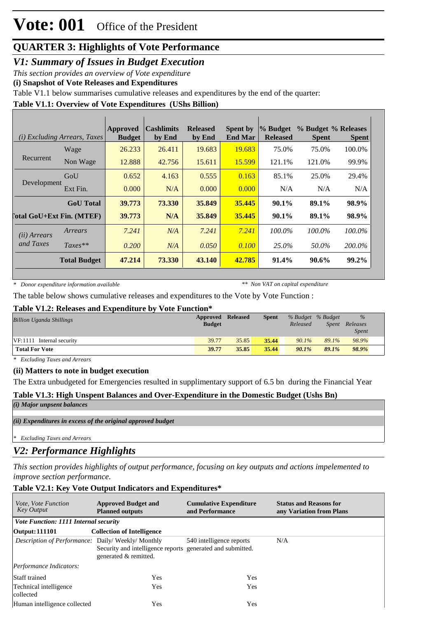## **Vote: 001** Office of the President

## **QUARTER 3: Highlights of Vote Performance**

*V1: Summary of Issues in Budget Execution*

*This section provides an overview of Vote expenditure* 

**(i) Snapshot of Vote Releases and Expenditures**

Table V1.1 below summarises cumulative releases and expenditures by the end of the quarter:

## **Table V1.1: Overview of Vote Expenditures (UShs Billion)**

|                                  | ( <i>i</i> ) Excluding Arrears, Taxes | <b>Approved</b><br><b>Budget</b> | <b>Cashlimits</b><br>by End | <b>Released</b><br>by End | <b>Spent by</b><br><b>End Mar</b> | % Budget<br><b>Released</b> | % Budget % Releases<br><b>Spent</b> | <b>Spent</b> |
|----------------------------------|---------------------------------------|----------------------------------|-----------------------------|---------------------------|-----------------------------------|-----------------------------|-------------------------------------|--------------|
|                                  | Wage                                  | 26.233                           | 26.411                      | 19.683                    | 19.683                            | 75.0%                       | 75.0%                               | 100.0%       |
| Recurrent                        | Non Wage                              | 12.888                           | 42.756                      | 15.611                    | 15.599                            | 121.1%                      | 121.0%                              | 99.9%        |
| Development                      | GoU                                   | 0.652                            | 4.163                       | 0.555                     | 0.163                             | 85.1%                       | 25.0%                               | 29.4%        |
|                                  | Ext Fin.                              | 0.000                            | N/A                         | 0.000                     | 0.000                             | N/A                         | N/A                                 | N/A          |
|                                  | <b>GoU</b> Total                      | 39.773                           | 73.330                      | 35.849                    | 35.445                            | 90.1%                       | 89.1%                               | 98.9%        |
| <b>Total GoU+Ext Fin. (MTEF)</b> |                                       | 39.773                           | N/A                         | 35.849                    | 35.445                            | $90.1\%$                    | 89.1%                               | 98.9%        |
| (ii) Arrears                     | Arrears                               | 7.241                            | N/A                         | 7.241                     | 7.241                             | $100.0\%$                   | $100.0\%$                           | 100.0%       |
| and Taxes                        | $Taxes**$                             | 0.200                            | N/A                         | 0.050                     | 0.100                             | 25.0%                       | 50.0%                               | 200.0%       |
|                                  | <b>Total Budget</b>                   | 47.214                           | 73.330                      | 43.140                    | 42.785                            | 91.4%                       | 90.6%                               | 99.2%        |

*\* Donor expenditure information available*

*\*\* Non VAT on capital expenditure*

The table below shows cumulative releases and expenditures to the Vote by Vote Function :

#### **Table V1.2: Releases and Expenditure by Vote Function\***

| <b>Billion Uganda Shillings</b> | Approved<br><b>Budget</b> | <b>Released</b> | <b>Spent</b> | Released | % Budget % Budget<br>Spent | $\%$<br>Releases<br><i>Spent</i> |
|---------------------------------|---------------------------|-----------------|--------------|----------|----------------------------|----------------------------------|
| $VF:1111$ Internal security     | 39.77                     | 35.85           | 35.44        | $90.1\%$ | 89.1%                      | 98.9%                            |
| <b>Total For Vote</b>           | 39.77                     | 35.85           | 35.44        | $90.1\%$ | 89.1%                      | 98.9%                            |

*\* Excluding Taxes and Arrears*

#### **(ii) Matters to note in budget execution**

The Extra unbudgeted for Emergencies resulted in supplimentary support of 6.5 bn during the Financial Year

## **Table V1.3: High Unspent Balances and Over-Expenditure in the Domestic Budget (Ushs Bn)**

*(i) Major unpsent balances*

*(ii) Expenditures in excess of the original approved budget*

*\* Excluding Taxes and Arrears*

## *V2: Performance Highlights*

*This section provides highlights of output performance, focusing on key outputs and actions impelemented to improve section performance.*

#### **Table V2.1: Key Vote Output Indicators and Expenditures\***

| <i>Vote, Vote Function</i><br><b>Key Output</b>         | <b>Approved Budget and</b><br><b>Planned outputs</b>                                | <b>Cumulative Expenditure</b><br>and Performance | <b>Status and Reasons for</b><br>any Variation from Plans |
|---------------------------------------------------------|-------------------------------------------------------------------------------------|--------------------------------------------------|-----------------------------------------------------------|
| Vote Function: 1111 Internal security                   |                                                                                     |                                                  |                                                           |
| <b>Output: 111101</b>                                   | <b>Collection of Intelligence</b>                                                   |                                                  |                                                           |
| <i>Description of Performance:</i> Daily/Weekly/Monthly | Security and intelligence reports generated and submitted.<br>generated & remitted. | 540 intelligence reports                         | N/A                                                       |
| Performance Indicators:                                 |                                                                                     |                                                  |                                                           |
| <b>Staff trained</b>                                    | Yes                                                                                 | Yes                                              |                                                           |
| Technical intelligence<br>collected                     | Yes                                                                                 | Yes                                              |                                                           |
| Human intelligence collected                            | Yes                                                                                 | Yes                                              |                                                           |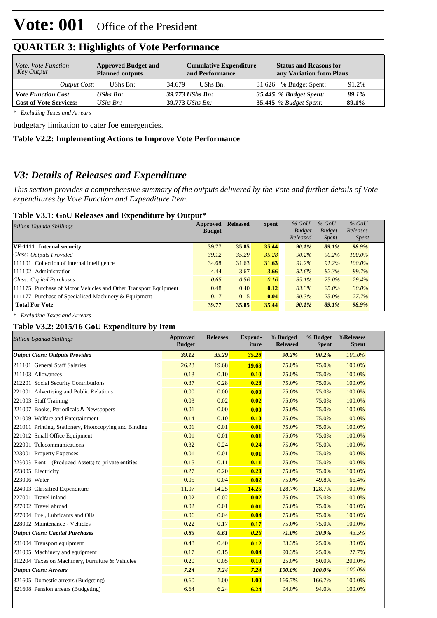| <i>Vote, Vote Function</i><br>Key Output | <b>Approved Budget and</b><br><b>Planned outputs</b> | <b>Cumulative Expenditure</b><br>and Performance | <b>Status and Reasons for</b><br>any Variation from Plans |
|------------------------------------------|------------------------------------------------------|--------------------------------------------------|-----------------------------------------------------------|
| Output Cost:                             | UShs Bn:                                             | UShs Bn:<br>34.679                               | 31.626 % Budget Spent:<br>91.2%                           |
| <b>Vote Function Cost</b>                | UShs Bn:                                             | 39.773 UShs Bn:                                  | 35.445 % Budget Spent:<br>89.1%                           |
| <b>Cost of Vote Services:</b>            | UShs $B_n$ :                                         | $39.773$ UShs Bn:                                | <b>35.445</b> % Budget Spent:<br>89.1%                    |

## **QUARTER 3: Highlights of Vote Performance**

*\* Excluding Taxes and Arrears*

budgetary limitation to cater foe emergencies.

### **Table V2.2: Implementing Actions to Improve Vote Performance**

## *V3: Details of Releases and Expenditure*

*This section provides a comprehensive summary of the outputs delivered by the Vote and further details of Vote expenditures by Vote Function and Expenditure Item.*

### **Table V3.1: GoU Releases and Expenditure by Output\***

| <b>Billion Uganda Shillings</b>                                 | Approved      | <b>Released</b> | <b>Spent</b> | $%$ GoU                   | $%$ GoU                | $%$ GoU                  |  |
|-----------------------------------------------------------------|---------------|-----------------|--------------|---------------------------|------------------------|--------------------------|--|
|                                                                 | <b>Budget</b> |                 |              | <b>Budget</b><br>Released | <b>Budget</b><br>Spent | Releases<br><i>Spent</i> |  |
| VF:1111 Internal security                                       | 39.77         | 35.85           | 35.44        | 90.1%                     | 89.1%                  | 98.9%                    |  |
| Class: Outputs Provided                                         | 39.12         | 35.29           | 35.28        | $90.2\%$                  | 90.2%                  | $100.0\%$                |  |
| 111101 Collection of Internal intelligence                      | 34.68         | 31.63           | 31.63        | $91.2\%$                  | 91.2%                  | $100.0\%$                |  |
| 111102 Administration                                           | 4.44          | 3.67            | 3.66         | 82.6%                     | 82.3%                  | 99.7%                    |  |
| Class: Capital Purchases                                        | 0.65          | 0.56            | 0.16         | 85.1%                     | 25.0%                  | 29.4%                    |  |
| 111175 Purchase of Motor Vehicles and Other Transport Equipment | 0.48          | 0.40            | 0.12         | 83.3%                     | $25.0\%$               | 30.0%                    |  |
| 111177 Purchase of Specialised Machinery & Equipment            | 0.17          | 0.15            | 0.04         | 90.3%                     | 25.0%                  | 27.7%                    |  |
| <b>Total For Vote</b>                                           | 39.77         | 35.85           | 35.44        | 90.1%                     | 89.1%                  | 98.9%                    |  |

*\* Excluding Taxes and Arrears*

## **Table V3.2: 2015/16 GoU Expenditure by Item**

| <b>Billion Uganda Shillings</b>                       | <b>Approved</b><br><b>Budget</b> | <b>Releases</b> | <b>Expend-</b><br>iture | % Budged<br><b>Released</b> | % Budget<br><b>Spent</b> | %Releases<br><b>Spent</b> |
|-------------------------------------------------------|----------------------------------|-----------------|-------------------------|-----------------------------|--------------------------|---------------------------|
| <b>Output Class: Outputs Provided</b>                 | 39.12                            | 35.29           | 35.28                   | 90.2%                       | 90.2%                    | 100.0%                    |
| 211101 General Staff Salaries                         | 26.23                            | 19.68           | 19.68                   | 75.0%                       | 75.0%                    | 100.0%                    |
| 211103 Allowances                                     | 0.13                             | 0.10            | 0.10                    | 75.0%                       | 75.0%                    | 100.0%                    |
| 212201 Social Security Contributions                  | 0.37                             | 0.28            | 0.28                    | 75.0%                       | 75.0%                    | 100.0%                    |
| 221001 Advertising and Public Relations               | 0.00                             | 0.00            | 0.00                    | 75.0%                       | 75.0%                    | 100.0%                    |
| 221003 Staff Training                                 | 0.03                             | 0.02            | 0.02                    | 75.0%                       | 75.0%                    | 100.0%                    |
| 221007 Books, Periodicals & Newspapers                | 0.01                             | 0.00            | 0.00                    | 75.0%                       | 75.0%                    | 100.0%                    |
| 221009 Welfare and Entertainment                      | 0.14                             | 0.10            | 0.10                    | 75.0%                       | 75.0%                    | 100.0%                    |
| 221011 Printing, Stationery, Photocopying and Binding | 0.01                             | 0.01            | 0.01                    | 75.0%                       | 75.0%                    | 100.0%                    |
| 221012 Small Office Equipment                         | 0.01                             | 0.01            | 0.01                    | 75.0%                       | 75.0%                    | 100.0%                    |
| 222001 Telecommunications                             | 0.32                             | 0.24            | 0.24                    | 75.0%                       | 75.0%                    | 100.0%                    |
| 223001 Property Expenses                              | 0.01                             | 0.01            | 0.01                    | 75.0%                       | 75.0%                    | 100.0%                    |
| $223003$ Rent – (Produced Assets) to private entities | 0.15                             | 0.11            | 0.11                    | 75.0%                       | 75.0%                    | 100.0%                    |
| 223005 Electricity                                    | 0.27                             | 0.20            | 0.20                    | 75.0%                       | 75.0%                    | 100.0%                    |
| 223006 Water                                          | 0.05                             | 0.04            | 0.02                    | 75.0%                       | 49.8%                    | 66.4%                     |
| 224003 Classified Expenditure                         | 11.07                            | 14.25           | 14.25                   | 128.7%                      | 128.7%                   | 100.0%                    |
| 227001 Travel inland                                  | 0.02                             | 0.02            | 0.02                    | 75.0%                       | 75.0%                    | 100.0%                    |
| 227002 Travel abroad                                  | 0.02                             | 0.01            | 0.01                    | 75.0%                       | 75.0%                    | 100.0%                    |
| 227004 Fuel, Lubricants and Oils                      | 0.06                             | 0.04            | 0.04                    | 75.0%                       | 75.0%                    | 100.0%                    |
| 228002 Maintenance - Vehicles                         | 0.22                             | 0.17            | 0.17                    | 75.0%                       | 75.0%                    | 100.0%                    |
| <b>Output Class: Capital Purchases</b>                | 0.85                             | 0.61            | 0.26                    | 71.0%                       | 30.9%                    | 43.5%                     |
| 231004 Transport equipment                            | 0.48                             | 0.40            | 0.12                    | 83.3%                       | 25.0%                    | 30.0%                     |
| 231005 Machinery and equipment                        | 0.17                             | 0.15            | 0.04                    | 90.3%                       | 25.0%                    | 27.7%                     |
| 312204 Taxes on Machinery, Furniture & Vehicles       | 0.20                             | 0.05            | 0.10                    | 25.0%                       | 50.0%                    | 200.0%                    |
| <b>Output Class: Arrears</b>                          | 7.24                             | 7.24            | 7.24                    | 100.0%                      | 100.0%                   | 100.0%                    |
| 321605 Domestic arrears (Budgeting)                   | 0.60                             | 1.00            | 1.00                    | 166.7%                      | 166.7%                   | 100.0%                    |
| 321608 Pension arrears (Budgeting)                    | 6.64                             | 6.24            | 6.24                    | 94.0%                       | 94.0%                    | 100.0%                    |